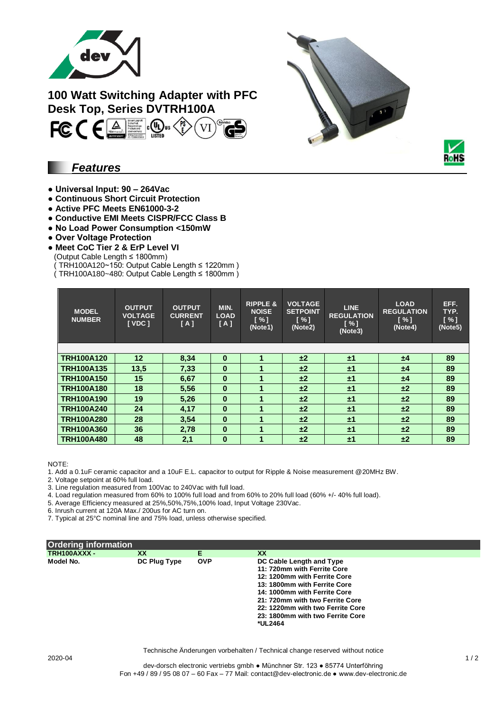

# **100 Watt Switching Adapter with PFC Desk Top, Series DVTRH100A**



## *Features*

- **Universal Input: 90 – 264Vac**
- **Continuous Short Circuit Protection**
- **Active PFC Meets EN61000-3-2**
- **Conductive EMI Meets CISPR/FCC Class B**
- **No Load Power Consumption <150mW**
- **Over Voltage Protection**
- **Meet CoC Tier 2 & ErP Level VI**
- (Output Cable Length ≤ 1800mm)
- TRH100A120~150: Output Cable Length  $\leq$  1220mm )
- ( TRH100A180~480: Output Cable Length ≤ 1800mm )

| <b>MODEL</b><br><b>NUMBER</b> | <b>OUTPUT</b><br><b>VOLTAGE</b><br>[VDC] | <b>OUTPUT</b><br><b>CURRENT</b><br>[A] | MIN.<br><b>LOAD</b><br>[A] | <b>RIPPLE &amp;</b><br><b>NOISE</b><br>$\lceil \% \rceil$<br>(Note1) | <b>VOLTAGE</b><br><b>SETPOINT</b><br>[%]<br>(Note2) | <b>LINE</b><br><b>REGULATION</b><br>[%]<br>(Note3) | <b>LOAD</b><br><b>REGULATION</b><br>$N \sim 1$<br>(Note4) | EFF.<br>TYP.<br>[%]<br>(Note5) |
|-------------------------------|------------------------------------------|----------------------------------------|----------------------------|----------------------------------------------------------------------|-----------------------------------------------------|----------------------------------------------------|-----------------------------------------------------------|--------------------------------|
|                               |                                          |                                        |                            |                                                                      |                                                     |                                                    |                                                           |                                |
| <b>TRH100A120</b>             | 12                                       | 8,34                                   | $\bf{0}$                   |                                                                      | ±2                                                  | ±1                                                 | ±4                                                        | 89                             |
| <b>TRH100A135</b>             | 13,5                                     | 7,33                                   | $\bf{0}$                   | 1                                                                    | ±2                                                  | ±1                                                 | ±4                                                        | 89                             |
| <b>TRH100A150</b>             | 15                                       | 6,67                                   | $\bf{0}$                   |                                                                      | ±2                                                  | ±1                                                 | ±4                                                        | 89                             |
| <b>TRH100A180</b>             | 18                                       | 5,56                                   | $\bf{0}$                   |                                                                      | ±2                                                  | ±1                                                 | ±2                                                        | 89                             |
| <b>TRH100A190</b>             | 19                                       | 5,26                                   | $\bf{0}$                   |                                                                      | $\pm 2$                                             | ±1                                                 | ±2                                                        | 89                             |
| <b>TRH100A240</b>             | 24                                       | 4,17                                   | $\bf{0}$                   |                                                                      | ±2                                                  | ±1                                                 | ±2                                                        | 89                             |
| <b>TRH100A280</b>             | 28                                       | 3,54                                   | $\bf{0}$                   |                                                                      | ±2                                                  | ±1                                                 | ±2                                                        | 89                             |
| <b>TRH100A360</b>             | 36                                       | 2,78                                   | $\bf{0}$                   |                                                                      | ±2                                                  | ±1                                                 | ±2                                                        | 89                             |
| <b>TRH100A480</b>             | 48                                       | 2,1                                    | $\bf{0}$                   |                                                                      | ±2                                                  | ±1                                                 | ±2                                                        | 89                             |

NOTE:

1. Add a 0.1uF ceramic capacitor and a 10uF E.L. capacitor to output for Ripple & Noise measurement @20MHz BW.

2. Voltage setpoint at 60% full load.

3. Line regulation measured from 100Vac to 240Vac with full load.

4. Load regulation measured from 60% to 100% full load and from 60% to 20% full load (60% +/- 40% full load).

5. Average Efficiency measured at 25%,50%,75%,100% load, Input Voltage 230Vac.

6. Inrush current at 120A Max./ 200us for AC turn on.

7. Typical at 25°C nominal line and 75% load, unless otherwise specified.

| Ordering information |              |            |                                  |
|----------------------|--------------|------------|----------------------------------|
| TRH100AXXX -         | XX           | Е          | XX                               |
| Model No.            | DC Plug Type | <b>OVP</b> | DC Cable Length and Type         |
|                      |              |            | 11: 720mm with Ferrite Core      |
|                      |              |            | 12: 1200mm with Ferrite Core     |
|                      |              |            | 13: 1800mm with Ferrite Core     |
|                      |              |            | 14: 1000mm with Ferrite Core     |
|                      |              |            | 21: 720mm with two Ferrite Core  |
|                      |              |            | 22: 1220mm with two Ferrite Core |
|                      |              |            | 23: 1800mm with two Ferrite Core |
|                      |              |            | *UL2464                          |
|                      |              |            |                                  |